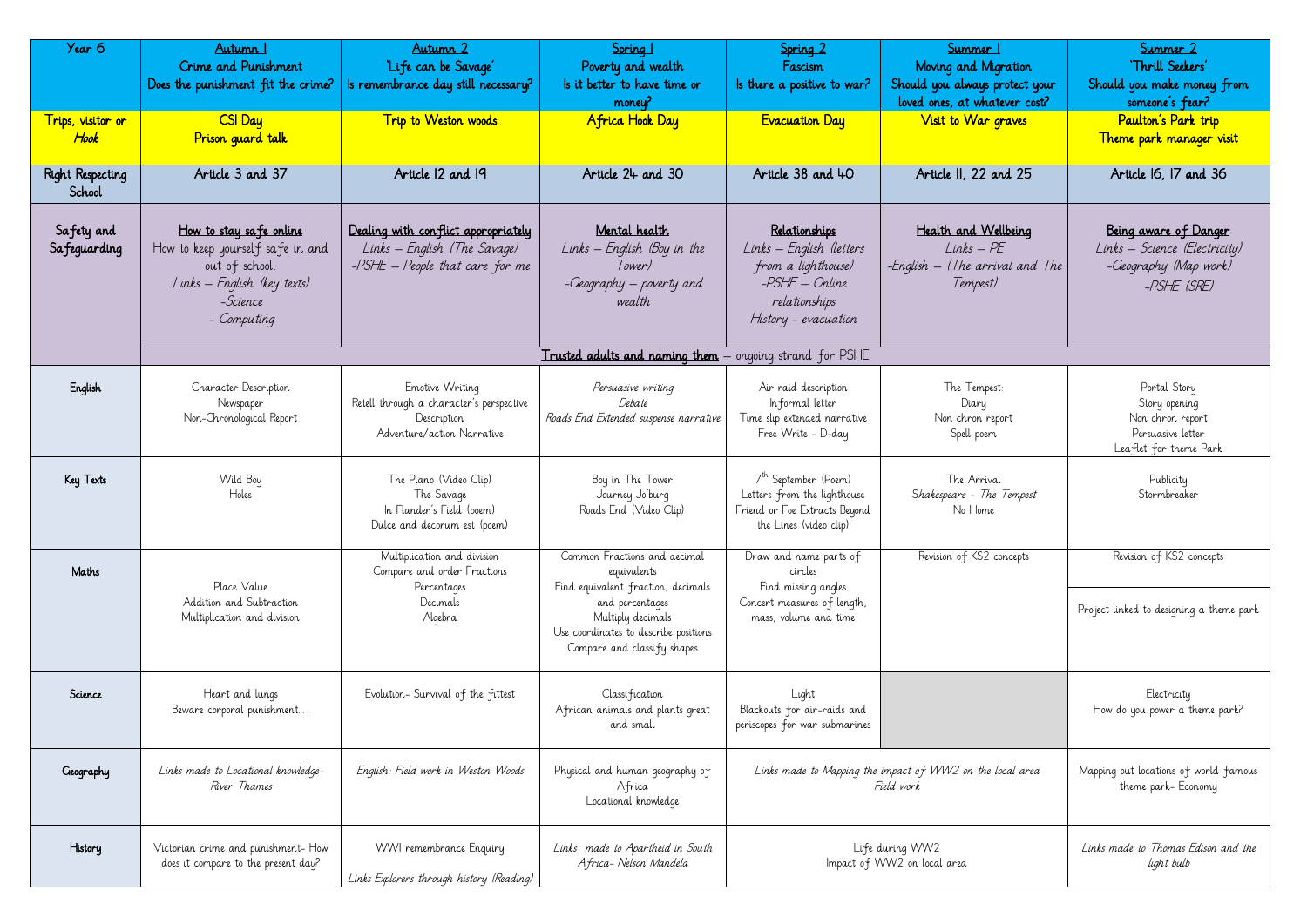| Year 6<br>Trips, visitor or<br>Hook | Autumn 1<br>Crime and Punishment<br>Does the punishment fit the crime?<br>CSI Day<br>Prison quard talk                                  | Autumn 2<br>'Life can be Savage'<br>ls remembrance day still necessary?<br>Trip to Weston woods          | Spring 1<br>Poverty and wealth<br>Is it better to have time or<br>money?<br>Africa Hook Day                  | Spring 2<br>Fascism<br>Is there a positive to war?<br><b>Evacuation Day</b>                                                | Summer  <br>Moving and Migration<br>Should you always protect your<br>loved ones, at whatever cost?<br>Visit to War graves | Summer 2<br>'Thrill Seekers'<br>Should you make money fr<br>someone's fear?<br>Paulton's Park trip<br>Theme park manager vis |
|-------------------------------------|-----------------------------------------------------------------------------------------------------------------------------------------|----------------------------------------------------------------------------------------------------------|--------------------------------------------------------------------------------------------------------------|----------------------------------------------------------------------------------------------------------------------------|----------------------------------------------------------------------------------------------------------------------------|------------------------------------------------------------------------------------------------------------------------------|
| <b>Right Respecting</b><br>School   | Article 3 and 37                                                                                                                        | Article 12 and 19                                                                                        | Article 24 and 30                                                                                            | Article 38 and 40                                                                                                          | Article II, 22 and 25                                                                                                      | Article 16, 17 and 36                                                                                                        |
| Safety and<br>Safeguarding          | How to stay safe online<br>How to keep yourself safe in and<br>out of school.<br>Links - English (key texts)<br>-Science<br>- Computing | Dealing with conflict appropriately<br>Links – English (The Savage)<br>$-PSHE - People that care for me$ | Mental health<br>$Links - English$ (Boy in the<br>lower)<br>-Geography – poverty and<br>wealth               | Relationships<br>Links - English (letters<br>from a lighthouse)<br>-PSHE – Online<br>relationships<br>History - evacuation | Health and Wellbeing<br>$Links - PE$<br>-English — (The arrival and The<br>Tempest)                                        | Being aware of Danger<br>Links – Science (Electricii<br>-Geography (Map work,<br>-PSHE (SRE)                                 |
|                                     |                                                                                                                                         |                                                                                                          | <b>Trusted adults and naming them</b> – ongoing strand for PSHE                                              |                                                                                                                            |                                                                                                                            |                                                                                                                              |
| English                             | Character Description<br>Newspaper<br>Non-Chronological Report                                                                          | Emotive Writing<br>Retell through a character's perspective<br>Description<br>Adventure/action Narrative | Persuasive writing<br>Debate<br>Roads End Extended suspense narrative                                        | Air raid description<br>Informal letter<br>Time slip extended narrative<br>Free Write - D-day                              | The Tempest:<br>Diary<br>Non chron report<br>Spell poem                                                                    | Portal Story<br>Story opening<br>Non chron report<br>Persuasive letter<br>Leaflet for theme Park                             |
| Key Texts                           | Wild Boy<br>Holes                                                                                                                       | The Piano (Video Clip)<br>The Savage<br>In Flander's Field (poem)<br>Dulce and decorum est (poem)        | Boy in The Tower<br>Journey Jo'burg<br>Roads End (Video Clip)                                                | 7 <sup>th</sup> September (Poem)<br>Letters from the lighthouse<br>Friend or Foe Extracts Beyond<br>the Lines (video clip) | The Arrival<br>Shakespeare - The Tempest<br>No Home                                                                        | Publicity<br>Stormbreaker                                                                                                    |
| Maths                               | Place Value                                                                                                                             | Multiplication and division<br>Compare and order Fractions<br>Percentages                                | Common Fractions and decimal<br>equivalents<br>Find equivalent fraction, decimals                            | Draw and name parts of<br>circles<br>Find missing angles                                                                   | Revision of KS2 concepts                                                                                                   | Revision of KS2 concepts                                                                                                     |
|                                     | Addition and Subtraction<br>Multiplication and division                                                                                 | Decimals<br>Algebra                                                                                      | and percentages<br>Multiply decimals<br>Use coordinates to describe positions<br>Compare and classify shapes | Concert measures of length,<br>mass, volume and time                                                                       |                                                                                                                            | Project linked to designing a them                                                                                           |
| Science                             | Heart and lungs<br>Beware corporal punishment                                                                                           | Evolution- Survival of the fittest                                                                       | Classification<br>African animals and plants great<br>and small                                              | Light<br>Blackouts for air-raids and<br>periscopes for war submarines                                                      |                                                                                                                            | Electricity<br>How do you power a theme pa                                                                                   |
| Geography                           | Links made to Locational knowledge-<br>River Thames                                                                                     | English: Field work in Weston Woods                                                                      | Physical and human geography of<br>Africa<br>Locational knowledge                                            | Links made to Mapping the impact of WW2 on the local area<br>Field work                                                    |                                                                                                                            | Mapping out locations of world f<br>theme park-Economy                                                                       |
| History                             | Victorian crime and punishment- How<br>does it compare to the present day?                                                              | WWI remembrance Enquiry<br>Links Explorers through history (Reading)                                     | Links made to Apartheid in South<br>Africa- Nelson Mandela                                                   |                                                                                                                            | Life during WW2<br>Impact of WW2 on local area                                                                             | Links made to Thomas Edison ar<br>light bulb                                                                                 |

| Summer 1<br>Moving and Migration<br>ld you always protect your<br>d ones, at whatever cost?<br>Visit to War graves | Summer 2<br>'Thrill Seekers'<br>Should you make money from<br>someone's fear?<br>Paulton's Park trip<br>Theme park manager visit |
|--------------------------------------------------------------------------------------------------------------------|----------------------------------------------------------------------------------------------------------------------------------|
| Article II, 22 and 25                                                                                              | Article 16, 17 and 36                                                                                                            |
| Health and Wellbeing<br>$Links - PE$<br>sh – (The arrival and The<br>Tempest)                                      | Being aware of Danger<br>Links – Science (Electricity)<br>-Geography (Map work)<br>-PSHE (SRE)                                   |
|                                                                                                                    |                                                                                                                                  |
| The Tempest:<br>Diary<br>Non chron report<br>Spell poem                                                            | Portal Story<br>Story opening<br>Non chron report<br>Persuasive letter<br>Leaflet for theme Park                                 |
| The Arrival<br>hakespeare – The Tempest<br>No Home                                                                 | Publicity<br>Stormbreaker                                                                                                        |
| Revision of KS2 concepts                                                                                           | Revision of KS2 concepts                                                                                                         |
|                                                                                                                    | Project linked to designing a theme park                                                                                         |
|                                                                                                                    | Electricity<br>How do you power a theme park?                                                                                    |
| f WW2 on the local area                                                                                            | Mapping out locations of world famous<br>theme park- Economy                                                                     |
| /W2<br>local area                                                                                                  | Links made to Thomas Edison and the<br>light bulb                                                                                |